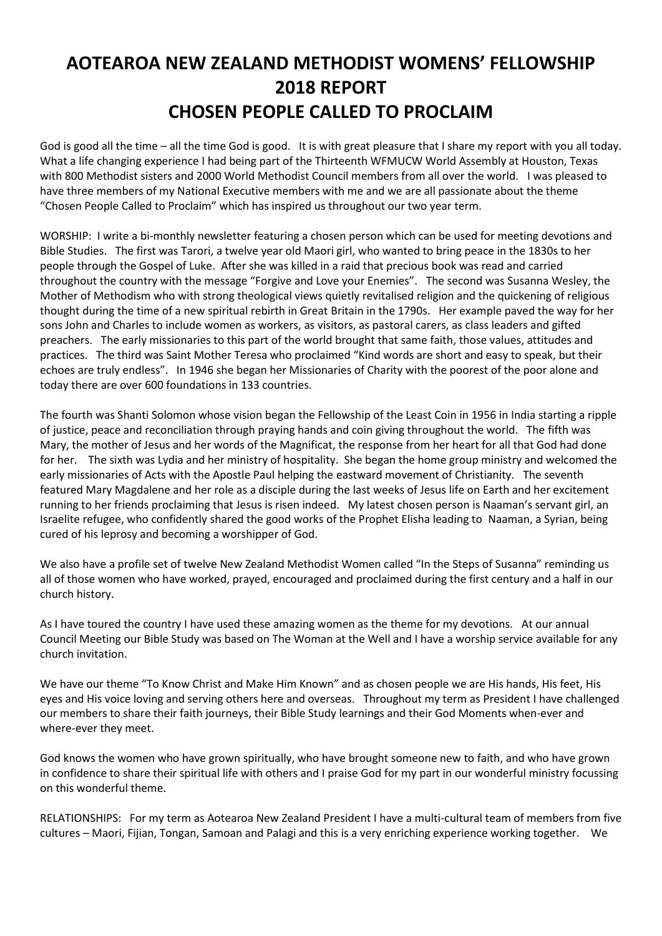## **AOTEAROA NEW ZEALAND METHODIST WOMENS' FELLOWSHIP 2018 REPORT CHOSEN PEOPLE CALLED TO PROCLAIM**

God is good all the time – all the time God is good. It is with great pleasure that I share my report with you all today. What a life changing experience I had being part of the Thirteenth WFMUCW World Assembly at Houston, Texas with 800 Methodist sisters and 2000 World Methodist Council members from all over the world. I was pleased to have three members of my National Executive members with me and we are all passionate about the theme "Chosen People Called to Proclaim" which has inspired us throughout our two year term.

WORSHIP: I write a bi-monthly newsletter featuring a chosen person which can be used for meeting devotions and Bible Studies. The first was Tarori, a twelve year old Maori girl, who wanted to bring peace in the 1830s to her people through the Gospel of Luke. After she was killed in a raid that precious book was read and carried throughout the country with the message "Forgive and Love your Enemies". The second was Susanna Wesley, the Mother of Methodism who with strong theological views quietly revitalised religion and the quickening of religious thought during the time of a new spiritual rebirth in Great Britain in the 1790s. Her example paved the way for her sons John and Charles to include women as workers, as visitors, as pastoral carers, as class leaders and gifted preachers. The early missionaries to this part of the world brought that same faith, those values, attitudes and practices. The third was Saint Mother Teresa who proclaimed "Kind words are short and easy to speak, but their echoes are truly endless". In 1946 she began her Missionaries of Charity with the poorest of the poor alone and today there are over 600 foundations in 133 countries.

The fourth was Shanti Solomon whose vision began the Fellowship of the Least Coin in 1956 in India starting a ripple of justice, peace and reconciliation through praying hands and coin giving throughout the world. The fifth was Mary, the mother of Jesus and her words of the Magnificat, the response from her heart for all that God had done for her. The sixth was Lydia and her ministry of hospitality. She began the home group ministry and welcomed the early missionaries of Acts with the Apostle Paul helping the eastward movement of Christianity. The seventh featured Mary Magdalene and her role as a disciple during the last weeks of Jesus life on Earth and her excitement running to her friends proclaiming that Jesus is risen indeed. My latest chosen person is Naaman's servant girl, an Israelite refugee, who confidently shared the good works of the Prophet Elisha leading to Naaman, a Syrian, being cured of his leprosy and becoming a worshipper of God.

We also have a profile set of twelve New Zealand Methodist Women called "In the Steps of Susanna" reminding us all of those women who have worked, prayed, encouraged and proclaimed during the first century and a half in our church history.

As I have toured the country I have used these amazing women as the theme for my devotions. At our annual Council Meeting our Bible Study was based on The Woman at the Well and I have a worship service available for any church invitation.

We have our theme "To Know Christ and Make Him Known" and as chosen people we are His hands, His feet, His eyes and His voice loving and serving others here and overseas. Throughout my term as President I have challenged our members to share their faith journeys, their Bible Study learnings and their God Moments when-ever and where-ever they meet.

God knows the women who have grown spiritually, who have brought someone new to faith, and who have grown in confidence to share their spiritual life with others and I praise God for my part in our wonderful ministry focussing on this wonderful theme.

RELATIONSHIPS: For my term as Aotearoa New Zealand President I have a multi-cultural team of members from five cultures – Maori, Fijian, Tongan, Samoan and Palagi and this is a very enriching experience working together. We